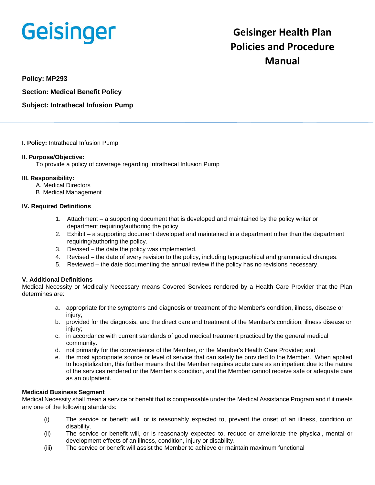# **Geisinger**

# **Geisinger Health Plan Policies and Procedure Manual**

**Policy: MP293**

**Section: Medical Benefit Policy**

**Subject: Intrathecal Infusion Pump**

# **I. Policy:** Intrathecal Infusion Pump

# **II. Purpose/Objective:**

To provide a policy of coverage regarding Intrathecal Infusion Pump

# **III. Responsibility:**

- A. Medical Directors
- B. Medical Management

# **IV. Required Definitions**

- 1. Attachment a supporting document that is developed and maintained by the policy writer or department requiring/authoring the policy.
- 2. Exhibit a supporting document developed and maintained in a department other than the department requiring/authoring the policy.
- 3. Devised the date the policy was implemented.
- 4. Revised the date of every revision to the policy, including typographical and grammatical changes.
- 5. Reviewed the date documenting the annual review if the policy has no revisions necessary.

# **V. Additional Definitions**

Medical Necessity or Medically Necessary means Covered Services rendered by a Health Care Provider that the Plan determines are:

- a. appropriate for the symptoms and diagnosis or treatment of the Member's condition, illness, disease or injury;
- b. provided for the diagnosis, and the direct care and treatment of the Member's condition, illness disease or injury;
- c. in accordance with current standards of good medical treatment practiced by the general medical community.
- d. not primarily for the convenience of the Member, or the Member's Health Care Provider; and
- e. the most appropriate source or level of service that can safely be provided to the Member. When applied to hospitalization, this further means that the Member requires acute care as an inpatient due to the nature of the services rendered or the Member's condition, and the Member cannot receive safe or adequate care as an outpatient.

# **Medicaid Business Segment**

Medical Necessity shall mean a service or benefit that is compensable under the Medical Assistance Program and if it meets any one of the following standards:

- (i) The service or benefit will, or is reasonably expected to, prevent the onset of an illness, condition or disability.
- (ii) The service or benefit will, or is reasonably expected to, reduce or ameliorate the physical, mental or development effects of an illness, condition, injury or disability.
- (iii) The service or benefit will assist the Member to achieve or maintain maximum functional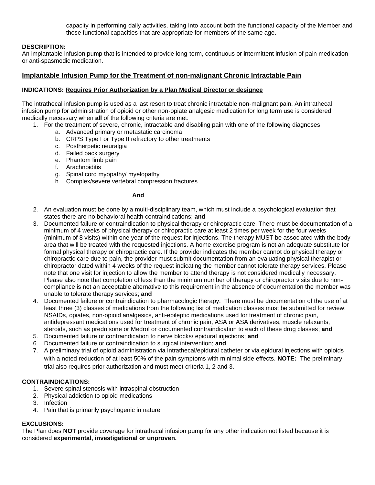capacity in performing daily activities, taking into account both the functional capacity of the Member and those functional capacities that are appropriate for members of the same age.

#### **DESCRIPTION:**

An implantable infusion pump that is intended to provide long-term, continuous or intermittent infusion of pain medication or anti-spasmodic medication.

# **Implantable Infusion Pump for the Treatment of non-malignant Chronic Intractable Pain**

#### **INDICATIONS: Requires Prior Authorization by a Plan Medical Director or designee**

The intrathecal infusion pump is used as a last resort to treat chronic intractable non-malignant pain. An intrathecal infusion pump for administration of opioid or other non-opiate analgesic medication for long term use is considered medically necessary when **all** of the following criteria are met:

- 1. For the treatment of severe, chronic, intractable and disabling pain with one of the following diagnoses:
	- a. Advanced primary or metastatic carcinoma
	- b. CRPS Type I or Type II refractory to other treatments
	- c. Postherpetic neuralgia
	- d. Failed back surgery
	- e. Phantom limb pain
	- f. Arachnoiditis
	- g. Spinal cord myopathy/ myelopathy
	- h. Complex/severe vertebral compression fractures

#### **And**

- 2. An evaluation must be done by a multi-disciplinary team, which must include a psychological evaluation that states there are no behavioral health contraindications; **and**
- 3. Documented failure or contraindication to physical therapy or chiropractic care. There must be documentation of a minimum of 4 weeks of physical therapy or chiropractic care at least 2 times per week for the four weeks (minimum of 8 visits) within one year of the request for injections. The therapy MUST be associated with the body area that will be treated with the requested injections. A home exercise program is not an adequate substitute for formal physical therapy or chiropractic care. If the provider indicates the member cannot do physical therapy or chiropractic care due to pain, the provider must submit documentation from an evaluating physical therapist or chiropractor dated within 4 weeks of the request indicating the member cannot tolerate therapy services. Please note that one visit for injection to allow the member to attend therapy is not considered medically necessary. Please also note that completion of less than the minimum number of therapy or chiropractor visits due to noncompliance is not an acceptable alternative to this requirement in the absence of documentation the member was unable to tolerate therapy services; **and**
- 4. Documented failure or contraindication to pharmacologic therapy. There must be documentation of the use of at least three (3) classes of medications from the following list of medication classes must be submitted for review: NSAIDs, opiates, non-opioid analgesics, anti-epileptic medications used for treatment of chronic pain, antidepressant medications used for treatment of chronic pain, ASA or ASA derivatives, muscle relaxants, steroids, such as prednisone or Medrol or documented contraindication to each of these drug classes; **and**
- 5. Documented failure or contraindication to nerve blocks/ epidural injections; **and**
- 6. Documented failure or contraindication to surgical intervention; **and**
- 7. A preliminary trial of opioid administration via intrathecal/epidural catheter or via epidural injections with opioids with a noted reduction of at least 50% of the pain symptoms with minimal side effects. **NOTE:** The preliminary trial also requires prior authorization and must meet criteria 1, 2 and 3.

#### **CONTRAINDICATIONS:**

- 1. Severe spinal stenosis with intraspinal obstruction
- 2. Physical addiction to opioid medications
- 3. Infection
- 4. Pain that is primarily psychogenic in nature

#### **EXCLUSIONS:**

The Plan does **NOT** provide coverage for intrathecal infusion pump for any other indication not listed because it is considered **experimental, investigational or unproven.**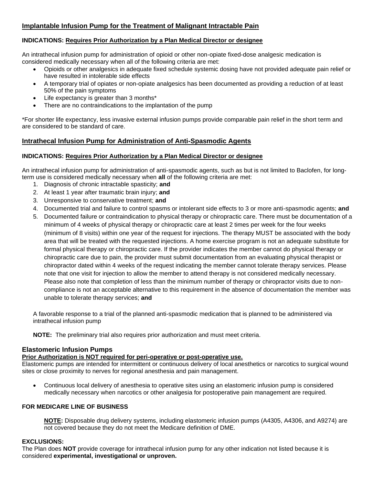# **Implantable Infusion Pump for the Treatment of Malignant Intractable Pain**

# **INDICATIONS: Requires Prior Authorization by a Plan Medical Director or designee**

An intrathecal infusion pump for administration of opioid or other non-opiate fixed-dose analgesic medication is considered medically necessary when all of the following criteria are met:

- Opioids or other analgesics in adequate fixed schedule systemic dosing have not provided adequate pain relief or have resulted in intolerable side effects
- A temporary trial of opiates or non-opiate analgesics has been documented as providing a reduction of at least 50% of the pain symptoms
- Life expectancy is greater than 3 months\*
- There are no contraindications to the implantation of the pump

\*For shorter life expectancy, less invasive external infusion pumps provide comparable pain relief in the short term and are considered to be standard of care.

# **Intrathecal Infusion Pump for Administration of Anti-Spasmodic Agents**

# **INDICATIONS: Requires Prior Authorization by a Plan Medical Director or designee**

An intrathecal infusion pump for administration of anti-spasmodic agents, such as but is not limited to Baclofen, for longterm use is considered medically necessary when **all** of the following criteria are met:

- 1. Diagnosis of chronic intractable spasticity; **and**
- 2. At least 1 year after traumatic brain injury; **and**
- 3. Unresponsive to conservative treatment; **and**
- 4. Documented trial and failure to control spasms or intolerant side effects to 3 or more anti-spasmodic agents; **and**
- 5. Documented failure or contraindication to physical therapy or chiropractic care. There must be documentation of a minimum of 4 weeks of physical therapy or chiropractic care at least 2 times per week for the four weeks (minimum of 8 visits) within one year of the request for injections. The therapy MUST be associated with the body area that will be treated with the requested injections. A home exercise program is not an adequate substitute for formal physical therapy or chiropractic care. If the provider indicates the member cannot do physical therapy or chiropractic care due to pain, the provider must submit documentation from an evaluating physical therapist or chiropractor dated within 4 weeks of the request indicating the member cannot tolerate therapy services. Please note that one visit for injection to allow the member to attend therapy is not considered medically necessary. Please also note that completion of less than the minimum number of therapy or chiropractor visits due to noncompliance is not an acceptable alternative to this requirement in the absence of documentation the member was unable to tolerate therapy services; **and**

A favorable response to a trial of the planned anti-spasmodic medication that is planned to be administered via intrathecal infusion pump

**NOTE:** The preliminary trial also requires prior authorization and must meet criteria.

# **Elastomeric Infusion Pumps**

# **Prior Authorization is NOT required for peri-operative or post-operative use.**

Elastomeric pumps are intended for intermittent or continuous delivery of local anesthetics or narcotics to surgical wound sites or close proximity to nerves for regional anesthesia and pain management.

• Continuous local delivery of anesthesia to operative sites using an elastomeric infusion pump is considered medically necessary when narcotics or other analgesia for postoperative pain management are required.

# **FOR MEDICARE LINE OF BUSINESS**

**NOTE:** Disposable drug delivery systems, including elastomeric infusion pumps (A4305, A4306, and A9274) are not covered because they do not meet the Medicare definition of DME.

# **EXCLUSIONS:**

The Plan does **NOT** provide coverage for intrathecal infusion pump for any other indication not listed because it is considered **experimental, investigational or unproven.**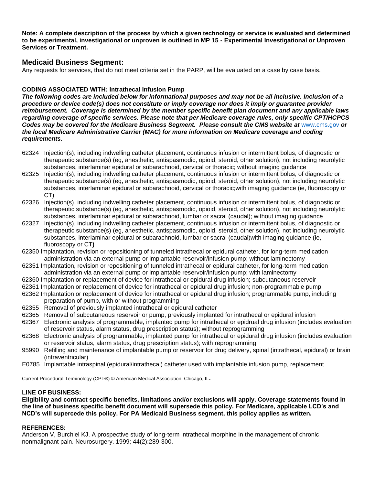**Note: A complete description of the process by which a given technology or service is evaluated and determined to be experimental, investigational or unproven is outlined in MP 15 - Experimental Investigational or Unproven Services or Treatment.**

# **Medicaid Business Segment:**

Any requests for services, that do not meet criteria set in the PARP, will be evaluated on a case by case basis.

# **CODING ASSOCIATED WITH: Intrathecal Infusion Pump**

*The following codes are included below for informational purposes and may not be all inclusive. Inclusion of a procedure or device code(s) does not constitute or imply coverage nor does it imply or guarantee provider reimbursement. Coverage is determined by the member specific benefit plan document and any applicable laws regarding coverage of specific services. Please note that per Medicare coverage rules, only specific CPT/HCPCS Codes may be covered for the Medicare Business Segment. Please consult the CMS website at* [www.cms.gov](http://www.cms.gov/) *or the local Medicare Administrative Carrier (MAC) for more information on Medicare coverage and coding requirements.*

- 62324 Injection(s), including indwelling catheter placement, continuous infusion or intermittent bolus, of diagnostic or therapeutic substance(s) (eg, anesthetic, antispasmodic, opioid, steroid, other solution), not including neurolytic substances, interlaminar epidural or subarachnoid, cervical or thoracic; without imaging guidance
- 62325 Injection(s), including indwelling catheter placement, continuous infusion or intermittent bolus, of diagnostic or therapeutic substance(s) (eg, anesthetic, antispasmodic, opioid, steroid, other solution), not including neurolytic substances, interlaminar epidural or subarachnoid, cervical or thoracic;with imaging guidance (ie, fluoroscopy or CT)
- 62326 Injection(s), including indwelling catheter placement, continuous infusion or intermittent bolus, of diagnostic or therapeutic substance(s) (eg, anesthetic, antispasmodic, opioid, steroid, other solution), not including neurolytic substances, interlaminar epidural or subarachnoid, lumbar or sacral (caudal); without imaging guidance
- 62327 Injection(s), including indwelling catheter placement, continuous infusion or intermittent bolus, of diagnostic or therapeutic substance(s) (eg, anesthetic, antispasmodic, opioid, steroid, other solution), not including neurolytic substances, interlaminar epidural or subarachnoid, lumbar or sacral (caudal)with imaging guidance (ie, fluoroscopy or CT**)**
- 62350 Implantation, revision or repositioning of tunneled intrathecal or epidural catheter, for long-term medication administration via an external pump or implantable reservoir/infusion pump; without laminectomy
- 62351 Implantation, revision or repositioning of tunneled intrathecal or epidural catheter, for long-term medication administration via an external pump or implantable reservoir/infusion pump; with laminectomy
- 62360 Implantation or replacement of device for intrathecal or epidural drug infusion; subcutaneous reservoir
- 62361 Implantation or replacement of device for intrathecal or epidural drug infusion; non-programmable pump
- 62362 Implantation or replacement of device for intrathecal or epidural drug infusion; programmable pump, including preparation of pump, with or without programming
- 62355 Removal of previously implanted intrathecal or epidural catheter
- 62365 Removal of subcutaneous reservoir or pump, previously implanted for intrathecal or epidural infusion
- 62367 Electronic analysis of programmable, implanted pump for intrathecal or epidrual drug infusion (includes evaluation of reservoir status, alarm status, drug prescription status); without reprogramming
- 62368 Electronic analysis of programmable, implanted pump for intrathecal or epidural drug infusion (includes evaluation or reservoir status, alarm status, drug prescription status); with reprogramming
- 95990 Refilling and maintenance of implantable pump or reservoir for drug delivery, spinal (intrathecal, epidural) or brain (intraventricular)
- E0785 Implantable intraspinal (epidural/intrathecal) catheter used with implantable infusion pump, replacement

Current Procedural Terminology (CPT®) © American Medical Association: Chicago, IL**.**

#### **LINE OF BUSINESS:**

**Eligibility and contract specific benefits, limitations and/or exclusions will apply. Coverage statements found in the line of business specific benefit document will supersede this policy. For Medicare, applicable LCD's and NCD's will supercede this policy. For PA Medicaid Business segment, this policy applies as written.**

#### **REFERENCES:**

Anderson V, Burchiel KJ. A prospective study of long-term intrathecal morphine in the management of chronic nonmalignant pain. Neurosurgery. 1999; 44(2):289-300.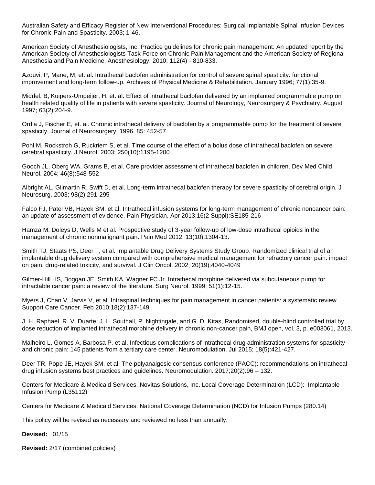Australian Safety and Efficacy Register of New Interventional Procedures; Surgical Implantable Spinal Infusion Devices for Chronic Pain and Spasticity. 2003; 1-46.

American Society of Anesthesiologists, Inc. Practice guidelines for chronic pain management: An updated report by the American Society of Anesthesiologists Task Force on Chronic Pain Management and the American Society of Regional Anesthesia and Pain Medicine. Anesthesiology. 2010; 112(4) - 810-833.

Azouvi, P, Mane, M, et. al. Intrathecal baclofen administration for control of severe spinal spasticity: functional improvement and long-term follow-up. Archives of Physical Medicine & Rehabilitation. January 1996; 77(1):35-9.

Middel, B, Kuipers-Umpeijer, H, et. al. Effect of intrathecal baclofen delivered by an implanted programmable pump on health related quality of life in patients with severe spasticity. Journal of Neurology, Neurosurgery & Psychiatry. August 1997; 63(2):204-9.

Ordia J, Fischer E, et. al. Chronic intrathecal delivery of baclofen by a programmable pump for the treatment of severe spasticity. Journal of Neurosurgery. 1996, 85: 452-57.

Pohl M, Rockstroh G, Ruckriem S, et al. Time course of the effect of a bolus dose of intrathecal baclofen on severe cerebral spasticity. J Neurol. 2003; 250(10):1195-1200

Gooch JL, Oberg WA, Grams B, et al. Care provider assessment of intrathecal baclofen in children. Dev Med Child Neurol. 2004; 46(8):548-552

Albright AL, Gilmartin R, Swift D, et al. Long-term intrathecal baclofen therapy for severe spasticity of cerebral origin. J Neurosurg. 2003; 98(2):291-295

Falco FJ, Patel VB, Hayek SM, et al. Intrathecal infusion systems for long-term management of chronic noncancer pain: an update of assessment of evidence. Pain Physician. Apr 2013;16(2 Suppl):SE185-216

Hamza M, Doleys D, Wells M et al. Prospective study of 3-year follow-up of low-dose intrathecal opioids in the management of chronic nonmalignant pain. Pain Med 2012; 13(10):1304-13.

Smith TJ, Staats PS, Deer T, et al. Implantable Drug Delivery Systems Study Group. Randomized clinical trial of an implantable drug delivery system compared with comprehensive medical management for refractory cancer pain: impact on pain, drug-related toxicity, and survival. J Clin Oncol. 2002; 20(19):4040-4049

Gilmer-Hill HS, Boggan JE, Smith KA, Wagner FC Jr. Intrathecal morphine delivered via subcutaneous pump for intractable cancer pain: a review of the literature. Surg Neurol. 1999; 51(1):12-15.

Myers J, Chan V, Jarvis V, et al. Intraspinal techniques for pain management in cancer patients: a systematic review. Support Care Cancer. Feb 2010;18(2):137-149

J. H. Raphael, R. V. Duarte, J. L. Southall, P. Nightingale, and G. D. Kitas, Randomised, double-blind controlled trial by dose reduction of implanted intrathecal morphine delivery in chronic non-cancer pain, BMJ open, vol. 3, p. e003061, 2013.

Malheiro L, Gomes A, Barbosa P, et al. Infectious complications of intrathecal drug administration systems for spasticity and chronic pain: 145 patients from a tertiary care center. Neuromodulation. Jul 2015; 18(5):421-427.

Deer TR, Pope JE, Hayek SM, et al. The polyanalgesic consensus conference (PACC): recommendations on intrathecal drug infusion systems best practices and guidelines. Neuromodulation. 2017;20(2):96 – 132.

Centers for Medicare & Medicaid Services. Novitas Solutions, Inc. Local Coverage Determination (LCD): Implantable Infusion Pump (L35112)

Centers for Medicare & Medicaid Services. National Coverage Determination (NCD) for Infusion Pumps (280.14)

This policy will be revised as necessary and reviewed no less than annually.

**Devised:** 01/15

**Revised:** 2/17 (combined policies)